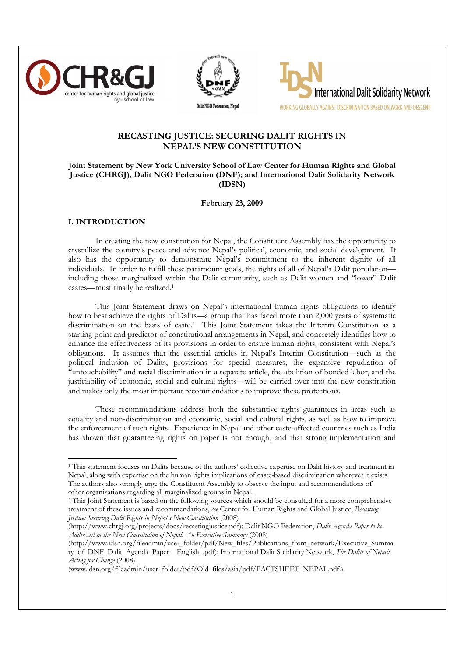





# RECASTING JUSTICE: SECURING DALIT RIGHTS IN NEPAL'S NEW CONSTITUTION

## Joint Statement by New York University School of Law Center for Human Rights and Global Justice (CHRGJ), Dalit NGO Federation (DNF); and International Dalit Solidarity Network (IDSN)

February 23, 2009

### I. INTRODUCTION

 $\overline{a}$ 

In creating the new constitution for Nepal, the Constituent Assembly has the opportunity to crystallize the country's peace and advance Nepal's political, economic, and social development. It also has the opportunity to demonstrate Nepal's commitment to the inherent dignity of all individuals. In order to fulfill these paramount goals, the rights of all of Nepal's Dalit population including those marginalized within the Dalit community, such as Dalit women and "lower" Dalit castes—must finally be realized.<sup>1</sup>

This Joint Statement draws on Nepal's international human rights obligations to identify how to best achieve the rights of Dalits—a group that has faced more than 2,000 years of systematic discrimination on the basis of caste.<sup>2</sup> This Joint Statement takes the Interim Constitution as a starting point and predictor of constitutional arrangements in Nepal, and concretely identifies how to enhance the effectiveness of its provisions in order to ensure human rights, consistent with Nepal's obligations. It assumes that the essential articles in Nepal's Interim Constitution—such as the political inclusion of Dalits, provisions for special measures, the expansive repudiation of "untouchability" and racial discrimination in a separate article, the abolition of bonded labor, and the justiciability of economic, social and cultural rights—will be carried over into the new constitution and makes only the most important recommendations to improve these protections.

These recommendations address both the substantive rights guarantees in areas such as equality and non-discrimination and economic, social and cultural rights, as well as how to improve the enforcement of such rights. Experience in Nepal and other caste-affected countries such as India has shown that guaranteeing rights on paper is not enough, and that strong implementation and

<sup>1</sup> This statement focuses on Dalits because of the authors' collective expertise on Dalit history and treatment in Nepal, along with expertise on the human rights implications of caste-based discrimination wherever it exists. The authors also strongly urge the Constituent Assembly to observe the input and recommendations of other organizations regarding all marginalized groups in Nepal.

<sup>&</sup>lt;sup>2</sup> This Joint Statement is based on the following sources which should be consulted for a more comprehensive treatment of these issues and recommendations, see Center for Human Rights and Global Justice, Recasting Justice: Securing Dalit Rights in Nepal's New Constitution (2008)

<sup>(</sup>http://www.chrgj.org/projects/docs/recastingjustice.pdf); Dalit NGO Federation, Dalit Agenda Paper to be Addressed in the New Constitution of Nepal: An Executive Summary (2008)

<sup>(</sup>http://www.idsn.org/fileadmin/user\_folder/pdf/New\_files/Publications\_from\_network/Executive\_Summa ry\_of\_DNF\_Dalit\_Agenda\_Paper\_\_English\_.pdf); International Dalit Solidarity Network, The Dalits of Nepal: Acting for Change (2008)

<sup>(</sup>www.idsn.org/fileadmin/user\_folder/pdf/Old\_files/asia/pdf/FACTSHEET\_NEPAL.pdf.).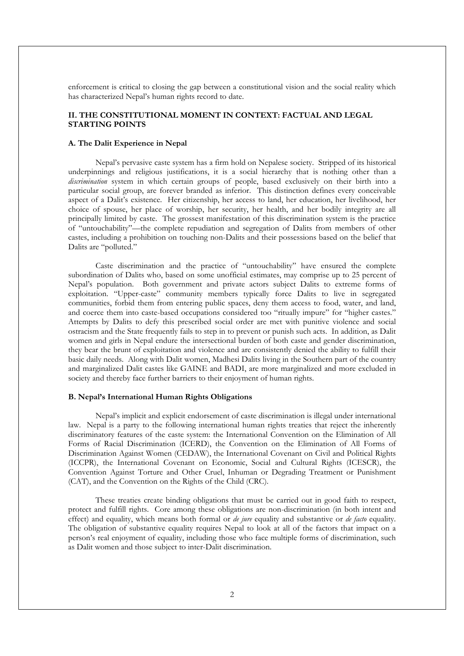enforcement is critical to closing the gap between a constitutional vision and the social reality which has characterized Nepal's human rights record to date.

# II. THE CONSTITUTIONAL MOMENT IN CONTEXT: FACTUAL AND LEGAL STARTING POINTS

#### A. The Dalit Experience in Nepal

Nepal's pervasive caste system has a firm hold on Nepalese society. Stripped of its historical underpinnings and religious justifications, it is a social hierarchy that is nothing other than a discrimination system in which certain groups of people, based exclusively on their birth into a particular social group, are forever branded as inferior. This distinction defines every conceivable aspect of a Dalit's existence. Her citizenship, her access to land, her education, her livelihood, her choice of spouse, her place of worship, her security, her health, and her bodily integrity are all principally limited by caste. The grossest manifestation of this discrimination system is the practice of "untouchability"—the complete repudiation and segregation of Dalits from members of other castes, including a prohibition on touching non-Dalits and their possessions based on the belief that Dalits are "polluted."

Caste discrimination and the practice of "untouchability" have ensured the complete subordination of Dalits who, based on some unofficial estimates, may comprise up to 25 percent of Nepal's population. Both government and private actors subject Dalits to extreme forms of exploitation. "Upper-caste" community members typically force Dalits to live in segregated communities, forbid them from entering public spaces, deny them access to food, water, and land, and coerce them into caste-based occupations considered too "ritually impure" for "higher castes." Attempts by Dalits to defy this prescribed social order are met with punitive violence and social ostracism and the State frequently fails to step in to prevent or punish such acts. In addition, as Dalit women and girls in Nepal endure the intersectional burden of both caste and gender discrimination, they bear the brunt of exploitation and violence and are consistently denied the ability to fulfill their basic daily needs. Along with Dalit women, Madhesi Dalits living in the Southern part of the country and marginalized Dalit castes like GAINE and BADI, are more marginalized and more excluded in society and thereby face further barriers to their enjoyment of human rights.

#### B. Nepal's International Human Rights Obligations

Nepal's implicit and explicit endorsement of caste discrimination is illegal under international law. Nepal is a party to the following international human rights treaties that reject the inherently discriminatory features of the caste system: the International Convention on the Elimination of All Forms of Racial Discrimination (ICERD), the Convention on the Elimination of All Forms of Discrimination Against Women (CEDAW), the International Covenant on Civil and Political Rights (ICCPR), the International Covenant on Economic, Social and Cultural Rights (ICESCR), the Convention Against Torture and Other Cruel, Inhuman or Degrading Treatment or Punishment (CAT), and the Convention on the Rights of the Child (CRC).

These treaties create binding obligations that must be carried out in good faith to respect, protect and fulfill rights. Core among these obligations are non-discrimination (in both intent and effect) and equality, which means both formal or *de jure* equality and substantive or *de facto* equality. The obligation of substantive equality requires Nepal to look at all of the factors that impact on a person's real enjoyment of equality, including those who face multiple forms of discrimination, such as Dalit women and those subject to inter-Dalit discrimination.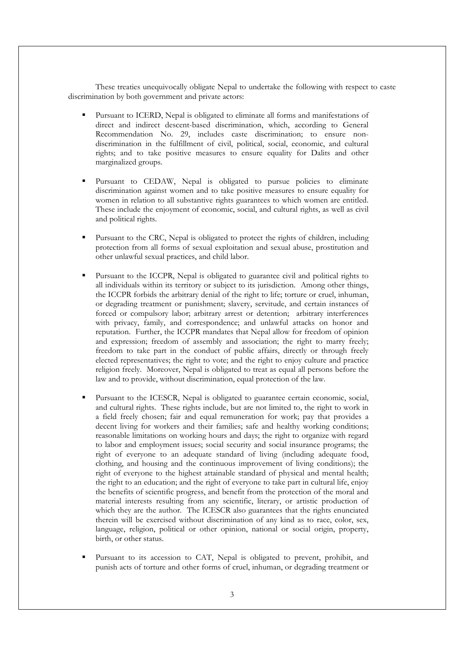These treaties unequivocally obligate Nepal to undertake the following with respect to caste discrimination by both government and private actors:

- Pursuant to ICERD, Nepal is obligated to eliminate all forms and manifestations of direct and indirect descent-based discrimination, which, according to General Recommendation No. 29, includes caste discrimination; to ensure nondiscrimination in the fulfillment of civil, political, social, economic, and cultural rights; and to take positive measures to ensure equality for Dalits and other marginalized groups.
- Pursuant to CEDAW, Nepal is obligated to pursue policies to eliminate discrimination against women and to take positive measures to ensure equality for women in relation to all substantive rights guarantees to which women are entitled. These include the enjoyment of economic, social, and cultural rights, as well as civil and political rights.
- Pursuant to the CRC, Nepal is obligated to protect the rights of children, including protection from all forms of sexual exploitation and sexual abuse, prostitution and other unlawful sexual practices, and child labor.
- Pursuant to the ICCPR, Nepal is obligated to guarantee civil and political rights to all individuals within its territory or subject to its jurisdiction. Among other things, the ICCPR forbids the arbitrary denial of the right to life; torture or cruel, inhuman, or degrading treatment or punishment; slavery, servitude, and certain instances of forced or compulsory labor; arbitrary arrest or detention; arbitrary interferences with privacy, family, and correspondence; and unlawful attacks on honor and reputation. Further, the ICCPR mandates that Nepal allow for freedom of opinion and expression; freedom of assembly and association; the right to marry freely; freedom to take part in the conduct of public affairs, directly or through freely elected representatives; the right to vote; and the right to enjoy culture and practice religion freely. Moreover, Nepal is obligated to treat as equal all persons before the law and to provide, without discrimination, equal protection of the law.
- Pursuant to the ICESCR, Nepal is obligated to guarantee certain economic, social, and cultural rights. These rights include, but are not limited to, the right to work in a field freely chosen; fair and equal remuneration for work; pay that provides a decent living for workers and their families; safe and healthy working conditions; reasonable limitations on working hours and days; the right to organize with regard to labor and employment issues; social security and social insurance programs; the right of everyone to an adequate standard of living (including adequate food, clothing, and housing and the continuous improvement of living conditions); the right of everyone to the highest attainable standard of physical and mental health; the right to an education; and the right of everyone to take part in cultural life, enjoy the benefits of scientific progress, and benefit from the protection of the moral and material interests resulting from any scientific, literary, or artistic production of which they are the author. The ICESCR also guarantees that the rights enunciated therein will be exercised without discrimination of any kind as to race, color, sex, language, religion, political or other opinion, national or social origin, property, birth, or other status.
- Pursuant to its accession to CAT, Nepal is obligated to prevent, prohibit, and punish acts of torture and other forms of cruel, inhuman, or degrading treatment or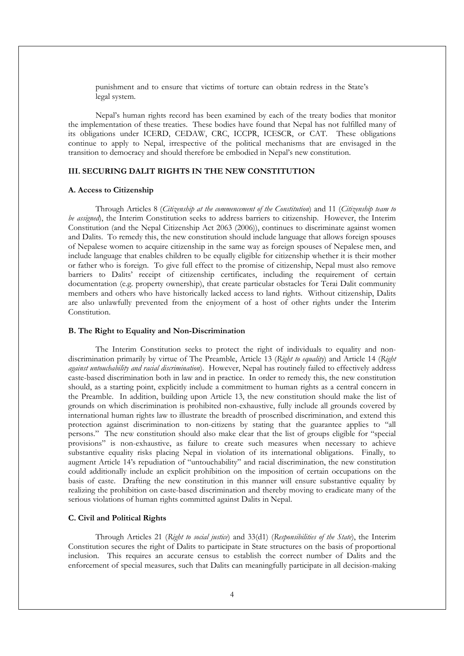punishment and to ensure that victims of torture can obtain redress in the State's legal system.

Nepal's human rights record has been examined by each of the treaty bodies that monitor the implementation of these treaties. These bodies have found that Nepal has not fulfilled many of its obligations under ICERD, CEDAW, CRC, ICCPR, ICESCR, or CAT. These obligations continue to apply to Nepal, irrespective of the political mechanisms that are envisaged in the transition to democracy and should therefore be embodied in Nepal's new constitution.

### III. SECURING DALIT RIGHTS IN THE NEW CONSTITUTION

#### A. Access to Citizenship

 Through Articles 8 (Citizenship at the commencement of the Constitution) and 11 (Citizenship team to be assigned), the Interim Constitution seeks to address barriers to citizenship. However, the Interim Constitution (and the Nepal Citizenship Act 2063 (2006)), continues to discriminate against women and Dalits. To remedy this, the new constitution should include language that allows foreign spouses of Nepalese women to acquire citizenship in the same way as foreign spouses of Nepalese men, and include language that enables children to be equally eligible for citizenship whether it is their mother or father who is foreign. To give full effect to the promise of citizenship, Nepal must also remove barriers to Dalits' receipt of citizenship certificates, including the requirement of certain documentation (e.g. property ownership), that create particular obstacles for Terai Dalit community members and others who have historically lacked access to land rights. Without citizenship, Dalits are also unlawfully prevented from the enjoyment of a host of other rights under the Interim Constitution.

#### B. The Right to Equality and Non-Discrimination

 The Interim Constitution seeks to protect the right of individuals to equality and nondiscrimination primarily by virtue of The Preamble, Article 13 (Right to equality) and Article 14 (Right against untouchability and racial discrimination). However, Nepal has routinely failed to effectively address caste-based discrimination both in law and in practice. In order to remedy this, the new constitution should, as a starting point, explicitly include a commitment to human rights as a central concern in the Preamble. In addition, building upon Article 13, the new constitution should make the list of grounds on which discrimination is prohibited non-exhaustive, fully include all grounds covered by international human rights law to illustrate the breadth of proscribed discrimination, and extend this protection against discrimination to non-citizens by stating that the guarantee applies to "all persons." The new constitution should also make clear that the list of groups eligible for "special provisions" is non-exhaustive, as failure to create such measures when necessary to achieve substantive equality risks placing Nepal in violation of its international obligations. Finally, to augment Article 14's repudiation of "untouchability" and racial discrimination, the new constitution could additionally include an explicit prohibition on the imposition of certain occupations on the basis of caste. Drafting the new constitution in this manner will ensure substantive equality by realizing the prohibition on caste-based discrimination and thereby moving to eradicate many of the serious violations of human rights committed against Dalits in Nepal.

### C. Civil and Political Rights

Through Articles 21 (Right to social justice) and 33(d1) (Responsibilities of the State), the Interim Constitution secures the right of Dalits to participate in State structures on the basis of proportional inclusion. This requires an accurate census to establish the correct number of Dalits and the enforcement of special measures, such that Dalits can meaningfully participate in all decision-making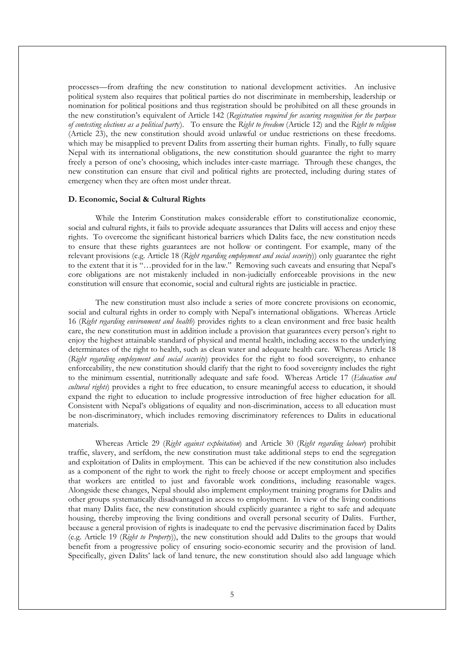processes—from drafting the new constitution to national development activities. An inclusive political system also requires that political parties do not discriminate in membership, leadership or nomination for political positions and thus registration should be prohibited on all these grounds in the new constitution's equivalent of Article 142 (Registration required for securing recognition for the purpose of contesting elections as a political party). To ensure the Right to freedom (Article 12) and the Right to religion (Article 23), the new constitution should avoid unlawful or undue restrictions on these freedoms. which may be misapplied to prevent Dalits from asserting their human rights. Finally, to fully square Nepal with its international obligations, the new constitution should guarantee the right to marry freely a person of one's choosing, which includes inter-caste marriage. Through these changes, the new constitution can ensure that civil and political rights are protected, including during states of emergency when they are often most under threat.

### D. Economic, Social & Cultural Rights

While the Interim Constitution makes considerable effort to constitutionalize economic, social and cultural rights, it fails to provide adequate assurances that Dalits will access and enjoy these rights. To overcome the significant historical barriers which Dalits face, the new constitution needs to ensure that these rights guarantees are not hollow or contingent. For example, many of the relevant provisions (e.g. Article 18 (Right regarding employment and social security)) only guarantee the right to the extent that it is "…provided for in the law." Removing such caveats and ensuring that Nepal's core obligations are not mistakenly included in non-judicially enforceable provisions in the new constitution will ensure that economic, social and cultural rights are justiciable in practice.

The new constitution must also include a series of more concrete provisions on economic, social and cultural rights in order to comply with Nepal's international obligations. Whereas Article 16 (Right regarding environment and health) provides rights to a clean environment and free basic health care, the new constitution must in addition include a provision that guarantees every person's right to enjoy the highest attainable standard of physical and mental health, including access to the underlying determinates of the right to health, such as clean water and adequate health care. Whereas Article 18 (Right regarding employment and social security) provides for the right to food sovereignty, to enhance enforceability, the new constitution should clarify that the right to food sovereignty includes the right to the minimum essential, nutritionally adequate and safe food. Whereas Article 17 (Education and cultural rights) provides a right to free education, to ensure meaningful access to education, it should expand the right to education to include progressive introduction of free higher education for all. Consistent with Nepal's obligations of equality and non-discrimination, access to all education must be non-discriminatory, which includes removing discriminatory references to Dalits in educational materials.

Whereas Article 29 (Right against exploitation) and Article 30 (Right regarding labour) prohibit traffic, slavery, and serfdom, the new constitution must take additional steps to end the segregation and exploitation of Dalits in employment. This can be achieved if the new constitution also includes as a component of the right to work the right to freely choose or accept employment and specifies that workers are entitled to just and favorable work conditions, including reasonable wages. Alongside these changes, Nepal should also implement employment training programs for Dalits and other groups systematically disadvantaged in access to employment. In view of the living conditions that many Dalits face, the new constitution should explicitly guarantee a right to safe and adequate housing, thereby improving the living conditions and overall personal security of Dalits. Further, because a general provision of rights is inadequate to end the pervasive discrimination faced by Dalits (e.g. Article 19 (Right to Property)), the new constitution should add Dalits to the groups that would benefit from a progressive policy of ensuring socio-economic security and the provision of land. Specifically, given Dalits' lack of land tenure, the new constitution should also add language which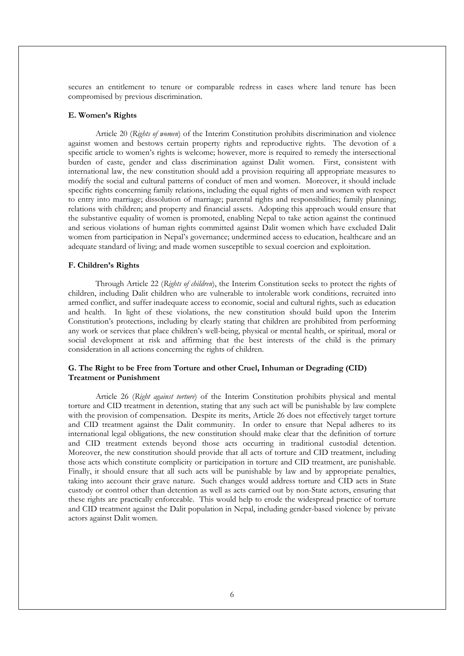secures an entitlement to tenure or comparable redress in cases where land tenure has been compromised by previous discrimination.

### E. Women's Rights

 Article 20 (Rights of women) of the Interim Constitution prohibits discrimination and violence against women and bestows certain property rights and reproductive rights. The devotion of a specific article to women's rights is welcome; however, more is required to remedy the intersectional burden of caste, gender and class discrimination against Dalit women. First, consistent with international law, the new constitution should add a provision requiring all appropriate measures to modify the social and cultural patterns of conduct of men and women. Moreover, it should include specific rights concerning family relations, including the equal rights of men and women with respect to entry into marriage; dissolution of marriage; parental rights and responsibilities; family planning; relations with children; and property and financial assets. Adopting this approach would ensure that the substantive equality of women is promoted, enabling Nepal to take action against the continued and serious violations of human rights committed against Dalit women which have excluded Dalit women from participation in Nepal's governance; undermined access to education, healthcare and an adequate standard of living; and made women susceptible to sexual coercion and exploitation.

#### F. Children's Rights

Through Article 22 (Rights of children), the Interim Constitution seeks to protect the rights of children, including Dalit children who are vulnerable to intolerable work conditions, recruited into armed conflict, and suffer inadequate access to economic, social and cultural rights, such as education and health. In light of these violations, the new constitution should build upon the Interim Constitution's protections, including by clearly stating that children are prohibited from performing any work or services that place children's well-being, physical or mental health, or spiritual, moral or social development at risk and affirming that the best interests of the child is the primary consideration in all actions concerning the rights of children.

#### G. The Right to be Free from Torture and other Cruel, Inhuman or Degrading (CID) Treatment or Punishment

 Article 26 (Right against torture) of the Interim Constitution prohibits physical and mental torture and CID treatment in detention, stating that any such act will be punishable by law complete with the provision of compensation. Despite its merits, Article 26 does not effectively target torture and CID treatment against the Dalit community. In order to ensure that Nepal adheres to its international legal obligations, the new constitution should make clear that the definition of torture and CID treatment extends beyond those acts occurring in traditional custodial detention. Moreover, the new constitution should provide that all acts of torture and CID treatment, including those acts which constitute complicity or participation in torture and CID treatment, are punishable. Finally, it should ensure that all such acts will be punishable by law and by appropriate penalties, taking into account their grave nature. Such changes would address torture and CID acts in State custody or control other than detention as well as acts carried out by non-State actors, ensuring that these rights are practically enforceable. This would help to erode the widespread practice of torture and CID treatment against the Dalit population in Nepal, including gender-based violence by private actors against Dalit women.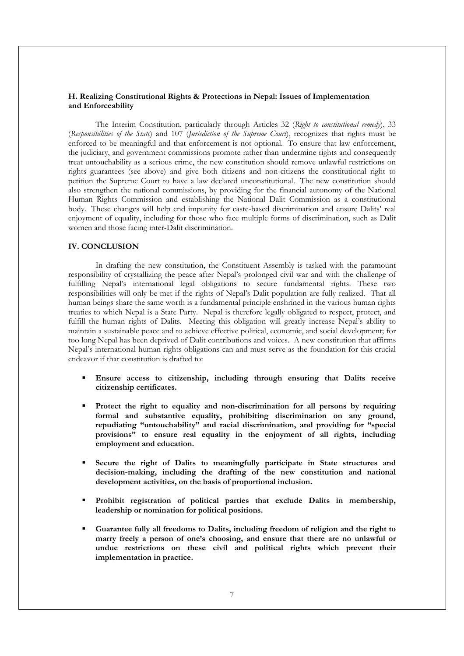#### H. Realizing Constitutional Rights & Protections in Nepal: Issues of Implementation and Enforceability

The Interim Constitution, particularly through Articles 32 (Right to constitutional remedy), 33 (Responsibilities of the State) and 107 (Jurisdiction of the Supreme Court), recognizes that rights must be enforced to be meaningful and that enforcement is not optional. To ensure that law enforcement, the judiciary, and government commissions promote rather than undermine rights and consequently treat untouchability as a serious crime, the new constitution should remove unlawful restrictions on rights guarantees (see above) and give both citizens and non-citizens the constitutional right to petition the Supreme Court to have a law declared unconstitutional. The new constitution should also strengthen the national commissions, by providing for the financial autonomy of the National Human Rights Commission and establishing the National Dalit Commission as a constitutional body. These changes will help end impunity for caste-based discrimination and ensure Dalits' real enjoyment of equality, including for those who face multiple forms of discrimination, such as Dalit women and those facing inter-Dalit discrimination.

### IV. CONCLUSION

In drafting the new constitution, the Constituent Assembly is tasked with the paramount responsibility of crystallizing the peace after Nepal's prolonged civil war and with the challenge of fulfilling Nepal's international legal obligations to secure fundamental rights. These two responsibilities will only be met if the rights of Nepal's Dalit population are fully realized. That all human beings share the same worth is a fundamental principle enshrined in the various human rights treaties to which Nepal is a State Party. Nepal is therefore legally obligated to respect, protect, and fulfill the human rights of Dalits. Meeting this obligation will greatly increase Nepal's ability to maintain a sustainable peace and to achieve effective political, economic, and social development; for too long Nepal has been deprived of Dalit contributions and voices. A new constitution that affirms Nepal's international human rights obligations can and must serve as the foundation for this crucial endeavor if that constitution is drafted to:

- Ensure access to citizenship, including through ensuring that Dalits receive citizenship certificates.
- Protect the right to equality and non-discrimination for all persons by requiring formal and substantive equality, prohibiting discrimination on any ground, repudiating "untouchability" and racial discrimination, and providing for "special provisions" to ensure real equality in the enjoyment of all rights, including employment and education.
- Secure the right of Dalits to meaningfully participate in State structures and decision-making, including the drafting of the new constitution and national development activities, on the basis of proportional inclusion.
- Prohibit registration of political parties that exclude Dalits in membership, leadership or nomination for political positions.
- Guarantee fully all freedoms to Dalits, including freedom of religion and the right to marry freely a person of one's choosing, and ensure that there are no unlawful or undue restrictions on these civil and political rights which prevent their implementation in practice.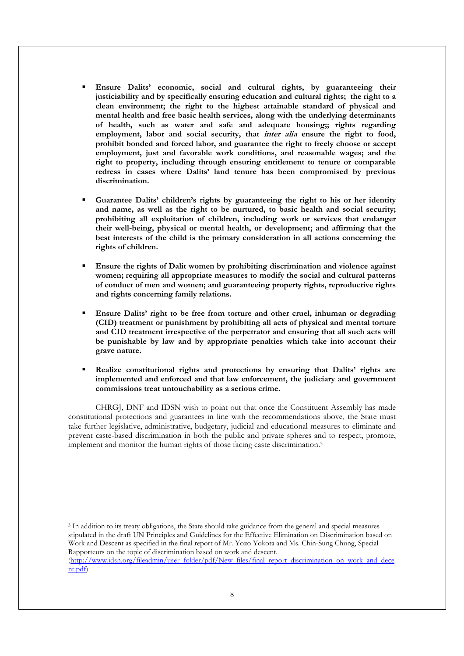- Ensure Dalits' economic, social and cultural rights, by guaranteeing their justiciability and by specifically ensuring education and cultural rights; the right to a clean environment; the right to the highest attainable standard of physical and mental health and free basic health services, along with the underlying determinants of health, such as water and safe and adequate housing;; rights regarding employment, labor and social security, that *inter alia* ensure the right to food, prohibit bonded and forced labor, and guarantee the right to freely choose or accept employment, just and favorable work conditions, and reasonable wages; and the right to property, including through ensuring entitlement to tenure or comparable redress in cases where Dalits' land tenure has been compromised by previous discrimination.
- Guarantee Dalits' children's rights by guaranteeing the right to his or her identity and name, as well as the right to be nurtured, to basic health and social security; prohibiting all exploitation of children, including work or services that endanger their well-being, physical or mental health, or development; and affirming that the best interests of the child is the primary consideration in all actions concerning the rights of children.
- Ensure the rights of Dalit women by prohibiting discrimination and violence against women; requiring all appropriate measures to modify the social and cultural patterns of conduct of men and women; and guaranteeing property rights, reproductive rights and rights concerning family relations.
- Ensure Dalits' right to be free from torture and other cruel, inhuman or degrading (CID) treatment or punishment by prohibiting all acts of physical and mental torture and CID treatment irrespective of the perpetrator and ensuring that all such acts will be punishable by law and by appropriate penalties which take into account their grave nature.
- Realize constitutional rights and protections by ensuring that Dalits' rights are implemented and enforced and that law enforcement, the judiciary and government commissions treat untouchability as a serious crime.

CHRGJ, DNF and IDSN wish to point out that once the Constituent Assembly has made constitutional protections and guarantees in line with the recommendations above, the State must take further legislative, administrative, budgetary, judicial and educational measures to eliminate and prevent caste-based discrimination in both the public and private spheres and to respect, promote, implement and monitor the human rights of those facing caste discrimination.<sup>3</sup>

3 In addition to its treaty obligations, the State should take guidance from the general and special measures stipulated in the draft UN Principles and Guidelines for the Effective Elimination on Discrimination based on Work and Descent as specified in the final report of Mr. Yozo Yokota and Ms. Chin-Sung Chung, Special Rapporteurs on the topic of discrimination based on work and descent.

 $\overline{a}$ 

<sup>(</sup>http://www.idsn.org/fileadmin/user\_folder/pdf/New\_files/final\_report\_discrimination\_on\_work\_and\_dece nt.pdf)